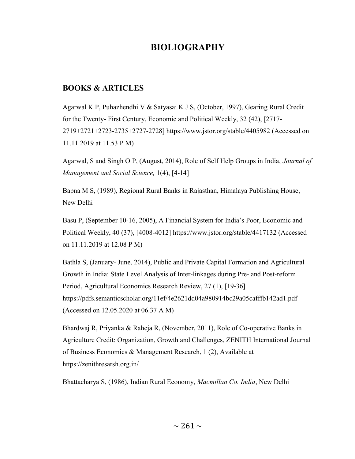# BIOLIOGRAPHY

## BOOKS & ARTICLES

Agarwal K P, Puhazhendhi V & Satyasai K J S, (October, 1997), Gearing Rural Credit for the Twenty- First Century, Economic and Political Weekly, 32 (42), [2717- 2719+2721+2723-2735+2727-2728] https://www.jstor.org/stable/4405982 (Accessed on 11.11.2019 at 11.53 P M)

Agarwal, S and Singh O P, (August, 2014), Role of Self Help Groups in India, Journal of Management and Social Science, 1(4), [4-14]

Bapna M S, (1989), Regional Rural Banks in Rajasthan, Himalaya Publishing House, New Delhi

Basu P, (September 10-16, 2005), A Financial System for India's Poor, Economic and Political Weekly, 40 (37), [4008-4012] https://www.jstor.org/stable/4417132 (Accessed on 11.11.2019 at 12.08 P M)

Bathla S, (January- June, 2014), Public and Private Capital Formation and Agricultural Growth in India: State Level Analysis of Inter-linkages during Pre- and Post-reform Period, Agricultural Economics Research Review, 27 (1), [19-36] https://pdfs.semanticscholar.org/11ef/4e2621dd04a980914bc29a05cafffb142ad1.pdf (Accessed on 12.05.2020 at 06.37 A M)

Bhardwaj R, Priyanka & Raheja R, (November, 2011), Role of Co-operative Banks in Agriculture Credit: Organization, Growth and Challenges, ZENITH International Journal of Business Economics & Management Research, 1 (2), Available at https://zenithresarsh.org.in/

Bhattacharya S, (1986), Indian Rural Economy, Macmillan Co. India, New Delhi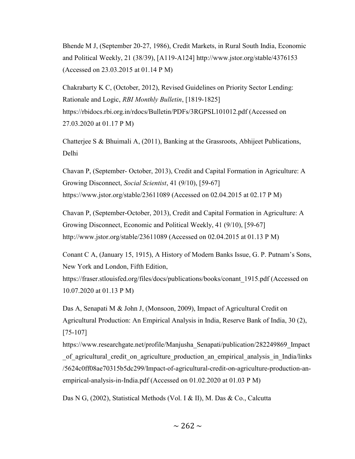Bhende M J, (September 20-27, 1986), Credit Markets, in Rural South India, Economic and Political Weekly, 21 (38/39), [A119-A124] http://www.jstor.org/stable/4376153 (Accessed on 23.03.2015 at 01.14 P M)

Chakrabarty K C, (October, 2012), Revised Guidelines on Priority Sector Lending: Rationale and Logic, RBI Monthly Bulletin, [1819-1825] https://rbidocs.rbi.org.in/rdocs/Bulletin/PDFs/3RGPSL101012.pdf (Accessed on 27.03.2020 at 01.17 P M)

Chatterjee S & Bhuimali A, (2011), Banking at the Grassroots, Abhijeet Publications, Delhi

Chavan P, (September- October, 2013), Credit and Capital Formation in Agriculture: A Growing Disconnect, Social Scientist, 41 (9/10), [59-67] https://www.jstor.org/stable/23611089 (Accessed on 02.04.2015 at 02.17 P M)

Chavan P, (September-October, 2013), Credit and Capital Formation in Agriculture: A Growing Disconnect, Economic and Political Weekly, 41 (9/10), [59-67] http://www.jstor.org/stable/23611089 (Accessed on 02.04.2015 at 01.13 P M)

Conant C A, (January 15, 1915), A History of Modern Banks Issue, G. P. Putnam's Sons, New York and London, Fifth Edition,

https://fraser.stlouisfed.org/files/docs/publications/books/conant\_1915.pdf (Accessed on 10.07.2020 at 01.13 P M)

Das A, Senapati M & John J, (Monsoon, 2009), Impact of Agricultural Credit on Agricultural Production: An Empirical Analysis in India, Reserve Bank of India, 30 (2), [75-107]

https://www.researchgate.net/profile/Manjusha\_Senapati/publication/282249869\_Impact of agricultural credit on agriculture production an empirical analysis in India/links /5624c0ff08ae70315b5dc299/Impact-of-agricultural-credit-on-agriculture-production-anempirical-analysis-in-India.pdf (Accessed on 01.02.2020 at 01.03 P M)

Das N G, (2002), Statistical Methods (Vol. I & II), M. Das & Co., Calcutta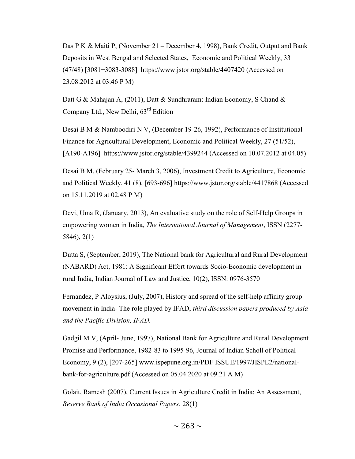Das P K & Maiti P, (November 21 – December 4, 1998), Bank Credit, Output and Bank Deposits in West Bengal and Selected States, Economic and Political Weekly, 33 (47/48) [3081+3083-3088] https://www.jstor.org/stable/4407420 (Accessed on 23.08.2012 at 03.46 P M)

Datt G & Mahajan A, (2011), Datt & Sundhraram: Indian Economy, S Chand & Company Ltd., New Delhi,  $63<sup>rd</sup>$  Edition

Desai B M & Namboodiri N V, (December 19-26, 1992), Performance of Institutional Finance for Agricultural Development, Economic and Political Weekly, 27 (51/52), [A190-A196] https://www.jstor.org/stable/4399244 (Accessed on 10.07.2012 at 04.05)

Desai B M, (February 25- March 3, 2006), Investment Credit to Agriculture, Economic and Political Weekly, 41 (8), [693-696] https://www.jstor.org/stable/4417868 (Accessed on 15.11.2019 at 02.48 P M)

Devi, Uma R, (January, 2013), An evaluative study on the role of Self-Help Groups in empowering women in India, The International Journal of Management, ISSN (2277- 5846), 2(1)

Dutta S, (September, 2019), The National bank for Agricultural and Rural Development (NABARD) Act, 1981: A Significant Effort towards Socio-Economic development in rural India, Indian Journal of Law and Justice, 10(2), ISSN: 0976-3570

Fernandez, P Aloysius, (July, 2007), History and spread of the self-help affinity group movement in India- The role played by IFAD, third discussion papers produced by Asia and the Pacific Division, IFAD.

Gadgil M V, (April- June, 1997), National Bank for Agriculture and Rural Development Promise and Performance, 1982-83 to 1995-96, Journal of Indian Scholl of Political Economy, 9 (2), [207-265] www.ispepune.org.in/PDF ISSUE/1997/JISPE2/nationalbank-for-agriculture.pdf (Accessed on 05.04.2020 at 09.21 A M)

Golait, Ramesh (2007), Current Issues in Agriculture Credit in India: An Assessment, Reserve Bank of India Occasional Papers, 28(1)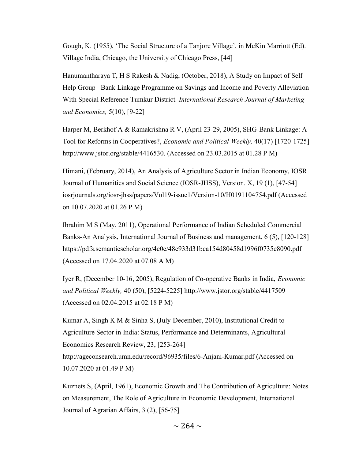Gough, K. (1955), 'The Social Structure of a Tanjore Village', in McKin Marriott (Ed). Village India, Chicago, the University of Chicago Press, [44]

Hanumantharaya T, H S Rakesh & Nadig, (October, 2018), A Study on Impact of Self Help Group –Bank Linkage Programme on Savings and Income and Poverty Alleviation With Special Reference Tumkur District. International Research Journal of Marketing and Economics, 5(10), [9-22]

Harper M, Berkhof A & Ramakrishna R V, (April 23-29, 2005), SHG-Bank Linkage: A Tool for Reforms in Cooperatives?, Economic and Political Weekly, 40(17) [1720-1725] http://www.jstor.org/stable/4416530. (Accessed on 23.03.2015 at 01.28 P M)

Himani, (February, 2014), An Analysis of Agriculture Sector in Indian Economy, IOSR Journal of Humanities and Social Science (IOSR-JHSS), Version. X, 19 (1), [47-54] iosrjournals.org/iosr-jhss/papers/Vol19-issue1/Version-10/H0191104754.pdf (Accessed on 10.07.2020 at 01.26 P M)

Ibrahim M S (May, 2011), Operational Performance of Indian Scheduled Commercial Banks-An Analysis, International Journal of Business and management, 6 (5), [120-128] https://pdfs.semanticscholar.org/4e0c/48c933d31bca154d80458d1996f0735e8090.pdf (Accessed on 17.04.2020 at 07.08 A M)

Iyer R, (December 10-16, 2005), Regulation of Co-operative Banks in India, Economic and Political Weekly, 40 (50), [5224-5225] http://www.jstor.org/stable/4417509 (Accessed on 02.04.2015 at 02.18 P M)

Kumar A, Singh K M & Sinha S, (July-December, 2010), Institutional Credit to Agriculture Sector in India: Status, Performance and Determinants, Agricultural Economics Research Review, 23, [253-264] http://ageconsearch.umn.edu/record/96935/files/6-Anjani-Kumar.pdf (Accessed on 10.07.2020 at 01.49 P M)

Kuznets S, (April, 1961), Economic Growth and The Contribution of Agriculture: Notes on Measurement, The Role of Agriculture in Economic Development, International Journal of Agrarian Affairs, 3 (2), [56-75]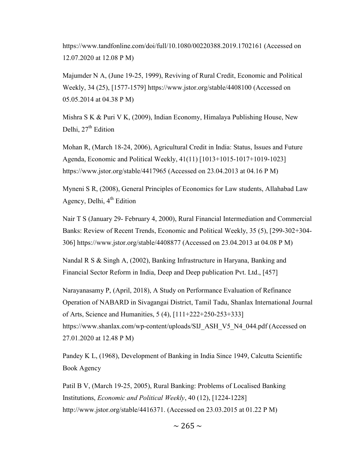https://www.tandfonline.com/doi/full/10.1080/00220388.2019.1702161 (Accessed on 12.07.2020 at 12.08 P M)

Majumder N A, (June 19-25, 1999), Reviving of Rural Credit, Economic and Political Weekly, 34 (25), [1577-1579] https://www.jstor.org/stable/4408100 (Accessed on 05.05.2014 at 04.38 P M)

Mishra S K & Puri V K, (2009), Indian Economy, Himalaya Publishing House, New Delhi,  $27<sup>th</sup>$  Edition

Mohan R, (March 18-24, 2006), Agricultural Credit in India: Status, Issues and Future Agenda, Economic and Political Weekly, 41(11) [1013+1015-1017+1019-1023] https://www.jstor.org/stable/4417965 (Accessed on 23.04.2013 at 04.16 P M)

Myneni S R, (2008), General Principles of Economics for Law students, Allahabad Law Agency, Delhi,  $4<sup>th</sup>$  Edition

Nair T S (January 29- February 4, 2000), Rural Financial Intermediation and Commercial Banks: Review of Recent Trends, Economic and Political Weekly, 35 (5), [299-302+304- 306] https://www.jstor.org/stable/4408877 (Accessed on 23.04.2013 at 04.08 P M)

Nandal R S & Singh A, (2002), Banking Infrastructure in Haryana, Banking and Financial Sector Reform in India, Deep and Deep publication Pvt. Ltd., [457]

Narayanasamy P, (April, 2018), A Study on Performance Evaluation of Refinance Operation of NABARD in Sivagangai District, Tamil Tadu, Shanlax International Journal of Arts, Science and Humanities, 5 (4), [111+222+250-253+333] https://www.shanlax.com/wp-content/uploads/SIJ\_ASH\_V5\_N4\_044.pdf (Accessed on 27.01.2020 at 12.48 P M)

Pandey K L, (1968), Development of Banking in India Since 1949, Calcutta Scientific Book Agency

Patil B V, (March 19-25, 2005), Rural Banking: Problems of Localised Banking Institutions, Economic and Political Weekly, 40 (12), [1224-1228] http://www.jstor.org/stable/4416371. (Accessed on 23.03.2015 at 01.22 P M)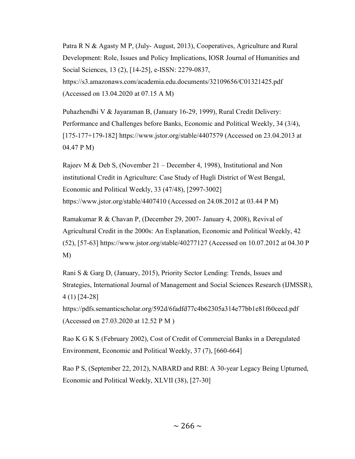Patra R N & Agasty M P, (July- August, 2013), Cooperatives, Agriculture and Rural Development: Role, Issues and Policy Implications, IOSR Journal of Humanities and Social Sciences, 13 (2), [14-25], e-ISSN: 2279-0837, https://s3.amazonaws.com/academia.edu.documents/32109656/C01321425.pdf (Accessed on 13.04.2020 at 07.15 A M)

Puhazhendhi V & Jayaraman B, (January 16-29, 1999), Rural Credit Delivery: Performance and Challenges before Banks, Economic and Political Weekly, 34 (3/4), [175-177+179-182] https://www.jstor.org/stable/4407579 (Accessed on 23.04.2013 at 04.47 P M)

Rajeev M & Deb S, (November 21 – December 4, 1998), Institutional and Non institutional Credit in Agriculture: Case Study of Hugli District of West Bengal, Economic and Political Weekly, 33 (47/48), [2997-3002] https://www.jstor.org/stable/4407410 (Accessed on 24.08.2012 at 03.44 P M)

Ramakumar R & Chavan P, (December 29, 2007- January 4, 2008), Revival of Agricultural Credit in the 2000s: An Explanation, Economic and Political Weekly, 42 (52), [57-63] https://www.jstor.org/stable/40277127 (Accessed on 10.07.2012 at 04.30 P M)

Rani S & Garg D, (January, 2015), Priority Sector Lending: Trends, Issues and Strategies, International Journal of Management and Social Sciences Research (IJMSSR), 4 (1) [24-28]

https://pdfs.semanticscholar.org/592d/6fadfd77c4b62305a314e77bb1e81f60cecd.pdf (Accessed on 27.03.2020 at 12.52 P M )

Rao K G K S (February 2002), Cost of Credit of Commercial Banks in a Deregulated Environment, Economic and Political Weekly, 37 (7), [660-664]

Rao P S, (September 22, 2012), NABARD and RBI: A 30-year Legacy Being Upturned, Economic and Political Weekly, XLVII (38), [27-30]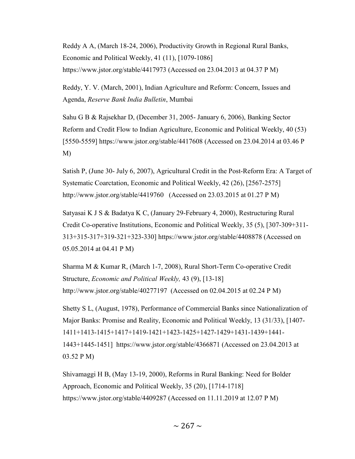Reddy A A, (March 18-24, 2006), Productivity Growth in Regional Rural Banks, Economic and Political Weekly, 41 (11), [1079-1086] https://www.jstor.org/stable/4417973 (Accessed on 23.04.2013 at 04.37 P M)

Reddy, Y. V. (March, 2001), Indian Agriculture and Reform: Concern, Issues and Agenda, Reserve Bank India Bulletin, Mumbai

Sahu G B & Rajsekhar D, (December 31, 2005- January 6, 2006), Banking Sector Reform and Credit Flow to Indian Agriculture, Economic and Political Weekly, 40 (53) [5550-5559] https://www.jstor.org/stable/4417608 (Accessed on 23.04.2014 at 03.46 P M)

Satish P, (June 30- July 6, 2007), Agricultural Credit in the Post-Reform Era: A Target of Systematic Coarctation, Economic and Political Weekly, 42 (26), [2567-2575] http://www.jstor.org/stable/4419760 (Accessed on 23.03.2015 at 01.27 P M)

Satyasai K J S & Badatya K C, (January 29-February 4, 2000), Restructuring Rural Credit Co-operative Institutions, Economic and Political Weekly, 35 (5), [307-309+311- 313+315-317+319-321+323-330] https://www.jstor.org/stable/4408878 (Accessed on 05.05.2014 at 04.41 P M)

Sharma M & Kumar R, (March 1-7, 2008), Rural Short-Term Co-operative Credit Structure, Economic and Political Weekly, 43 (9), [13-18] http://www.jstor.org/stable/40277197 (Accessed on 02.04.2015 at 02.24 P M)

Shetty S L, (August, 1978), Performance of Commercial Banks since Nationalization of Major Banks: Promise and Reality, Economic and Political Weekly, 13 (31/33), [1407- 1411+1413-1415+1417+1419-1421+1423-1425+1427-1429+1431-1439+1441- 1443+1445-1451] https://www.jstor.org/stable/4366871 (Accessed on 23.04.2013 at 03.52 P M)

Shivamaggi H B, (May 13-19, 2000), Reforms in Rural Banking: Need for Bolder Approach, Economic and Political Weekly, 35 (20), [1714-1718] https://www.jstor.org/stable/4409287 (Accessed on 11.11.2019 at 12.07 P M)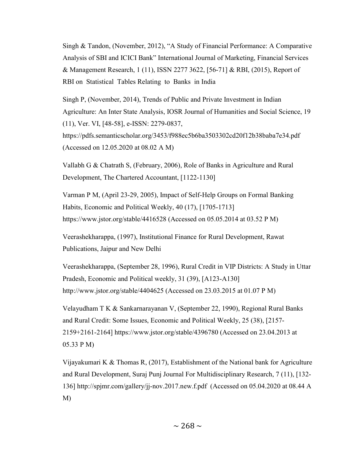Singh & Tandon, (November, 2012), "A Study of Financial Performance: A Comparative Analysis of SBI and ICICI Bank" International Journal of Marketing, Financial Services & Management Research, 1 (11), ISSN 2277 3622, [56-71] & RBI, (2015), Report of RBI on Statistical Tables Relating to Banks in India

Singh P, (November, 2014), Trends of Public and Private Investment in Indian Agriculture: An Inter State Analysis, IOSR Journal of Humanities and Social Science, 19 (11), Ver. VI, [48-58], e-ISSN: 2279-0837, https://pdfs.semanticscholar.org/3453/f988ec5b6ba3503302cd20f12b38baba7e34.pdf (Accessed on 12.05.2020 at 08.02 A M)

Vallabh G & Chatrath S, (February, 2006), Role of Banks in Agriculture and Rural Development, The Chartered Accountant, [1122-1130]

Varman P M, (April 23-29, 2005), Impact of Self-Help Groups on Formal Banking Habits, Economic and Political Weekly, 40 (17), [1705-1713] https://www.jstor.org/stable/4416528 (Accessed on 05.05.2014 at 03.52 P M)

Veerashekharappa, (1997), Institutional Finance for Rural Development, Rawat Publications, Jaipur and New Delhi

Veerashekharappa, (September 28, 1996), Rural Credit in VIP Districts: A Study in Uttar Pradesh, Economic and Political weekly, 31 (39), [A123-A130] http://www.jstor.org/stable/4404625 (Accessed on 23.03.2015 at 01.07 P M)

Velayudham T K & Sankarnarayanan V, (September 22, 1990), Regional Rural Banks and Rural Credit: Some Issues, Economic and Political Weekly, 25 (38), [2157- 2159+2161-2164] https://www.jstor.org/stable/4396780 (Accessed on 23.04.2013 at 05.33 P M)

Vijayakumari K & Thomas R, (2017), Establishment of the National bank for Agriculture and Rural Development, Suraj Punj Journal For Multidisciplinary Research, 7 (11), [132- 136] http://spjmr.com/gallery/jj-nov.2017.new.f.pdf (Accessed on 05.04.2020 at 08.44 A M)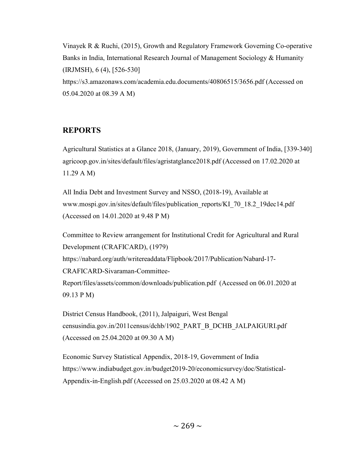Vinayek R & Ruchi, (2015), Growth and Regulatory Framework Governing Co-operative Banks in India, International Research Journal of Management Sociology & Humanity (IRJMSH), 6 (4), [526-530] https://s3.amazonaws.com/academia.edu.documents/40806515/3656.pdf (Accessed on 05.04.2020 at 08.39 A M)

## REPORTS

Agricultural Statistics at a Glance 2018, (January, 2019), Government of India, [339-340] agricoop.gov.in/sites/default/files/agristatglance2018.pdf (Accessed on 17.02.2020 at 11.29 A M)

All India Debt and Investment Survey and NSSO, (2018-19), Available at www.mospi.gov.in/sites/default/files/publication\_reports/KI\_70\_18.2\_19dec14.pdf (Accessed on 14.01.2020 at 9.48 P M)

Committee to Review arrangement for Institutional Credit for Agricultural and Rural Development (CRAFICARD), (1979) https://nabard.org/auth/writereaddata/Flipbook/2017/Publication/Nabard-17- CRAFICARD-Sivaraman-Committee-Report/files/assets/common/downloads/publication.pdf (Accessed on 06.01.2020 at 09.13 P M)

District Census Handbook, (2011), Jalpaiguri, West Bengal censusindia.gov.in/2011census/dchb/1902\_PART\_B\_DCHB\_JALPAIGURI.pdf (Accessed on 25.04.2020 at 09.30 A M)

Economic Survey Statistical Appendix, 2018-19, Government of India https://www.indiabudget.gov.in/budget2019-20/economicsurvey/doc/Statistical-Appendix-in-English.pdf (Accessed on 25.03.2020 at 08.42 A M)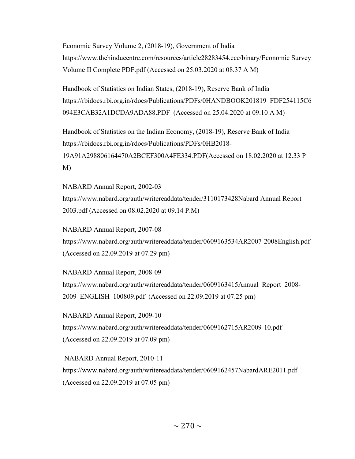Economic Survey Volume 2, (2018-19), Government of India https://www.thehinducentre.com/resources/article28283454.ece/binary/Economic Survey Volume II Complete PDF.pdf (Accessed on 25.03.2020 at 08.37 A M)

Handbook of Statistics on Indian States, (2018-19), Reserve Bank of India https://rbidocs.rbi.org.in/rdocs/Publications/PDFs/0HANDBOOK201819\_FDF254115C6 094E3CAB32A1DCDA9ADA88.PDF (Accessed on 25.04.2020 at 09.10 A M)

Handbook of Statistics on the Indian Economy, (2018-19), Reserve Bank of India https://rbidocs.rbi.org.in/rdocs/Publications/PDFs/0HB2018- 19A91A298806164470A2BCEF300A4FE334.PDF(Accessed on 18.02.2020 at 12.33 P M)

NABARD Annual Report, 2002-03 https://www.nabard.org/auth/writereaddata/tender/3110173428Nabard Annual Report 2003.pdf (Accessed on 08.02.2020 at 09.14 P.M)

NABARD Annual Report, 2007-08 https://www.nabard.org/auth/writereaddata/tender/0609163534AR2007-2008English.pdf (Accessed on 22.09.2019 at 07.29 pm)

NABARD Annual Report, 2008-09 https://www.nabard.org/auth/writereaddata/tender/0609163415Annual\_Report\_2008- 2009 ENGLISH 100809.pdf (Accessed on 22.09.2019 at 07.25 pm)

NABARD Annual Report, 2009-10 https://www.nabard.org/auth/writereaddata/tender/0609162715AR2009-10.pdf (Accessed on 22.09.2019 at 07.09 pm)

 NABARD Annual Report, 2010-11 https://www.nabard.org/auth/writereaddata/tender/0609162457NabardARE2011.pdf (Accessed on 22.09.2019 at 07.05 pm)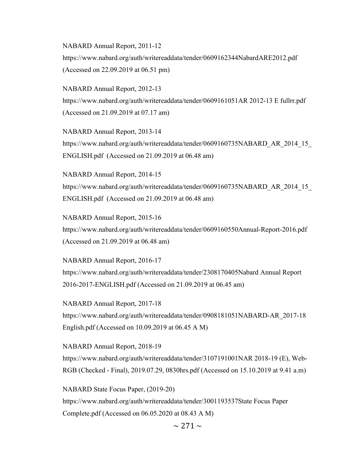NABARD Annual Report, 2011-12 https://www.nabard.org/auth/writereaddata/tender/0609162344NabardARE2012.pdf (Accessed on 22.09.2019 at 06.51 pm)

NABARD Annual Report, 2012-13 https://www.nabard.org/auth/writereaddata/tender/0609161051AR 2012-13 E fullrr.pdf (Accessed on 21.09.2019 at 07.17 am)

NABARD Annual Report, 2013-14 https://www.nabard.org/auth/writereaddata/tender/0609160735NABARD\_AR\_2014\_15 ENGLISH.pdf (Accessed on 21.09.2019 at 06.48 am)

NABARD Annual Report, 2014-15 https://www.nabard.org/auth/writereaddata/tender/0609160735NABARD\_AR\_2014\_15 ENGLISH.pdf (Accessed on 21.09.2019 at 06.48 am)

NABARD Annual Report, 2015-16 https://www.nabard.org/auth/writereaddata/tender/0609160550Annual-Report-2016.pdf (Accessed on 21.09.2019 at 06.48 am)

NABARD Annual Report, 2016-17 https://www.nabard.org/auth/writereaddata/tender/2308170405Nabard Annual Report 2016-2017-ENGLISH.pdf (Accessed on 21.09.2019 at 06.45 am)

NABARD Annual Report, 2017-18 https://www.nabard.org/auth/writereaddata/tender/0908181051NABARD-AR\_2017-18 English.pdf (Accessed on 10.09.2019 at 06.45 A M)

NABARD Annual Report, 2018-19 https://www.nabard.org/auth/writereaddata/tender/3107191001NAR 2018-19 (E), Web-RGB (Checked - Final), 2019.07.29, 0830hrs.pdf (Accessed on 15.10.2019 at 9.41 a.m)

NABARD State Focus Paper, (2019-20) https://www.nabard.org/auth/writereaddata/tender/3001193537State Focus Paper Complete.pdf (Accessed on 06.05.2020 at 08.43 A M)

 $\sim$  271  $\sim$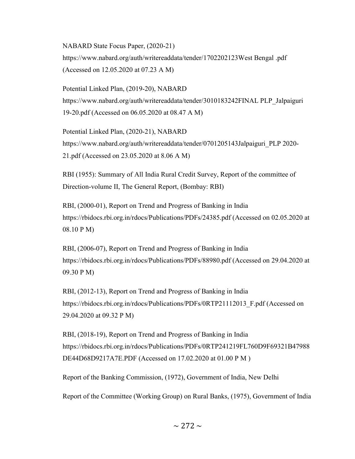NABARD State Focus Paper, (2020-21) https://www.nabard.org/auth/writereaddata/tender/1702202123West Bengal .pdf (Accessed on 12.05.2020 at 07.23 A M)

Potential Linked Plan, (2019-20), NABARD https://www.nabard.org/auth/writereaddata/tender/3010183242FINAL PLP\_Jalpaiguri 19-20.pdf (Accessed on 06.05.2020 at 08.47 A M)

Potential Linked Plan, (2020-21), NABARD https://www.nabard.org/auth/writereaddata/tender/0701205143Jalpaiguri\_PLP 2020- 21.pdf (Accessed on 23.05.2020 at 8.06 A M)

RBI (1955): Summary of All India Rural Credit Survey, Report of the committee of Direction-volume II, The General Report, (Bombay: RBI)

RBI, (2000-01), Report on Trend and Progress of Banking in India https://rbidocs.rbi.org.in/rdocs/Publications/PDFs/24385.pdf (Accessed on 02.05.2020 at 08.10 P M)

RBI, (2006-07), Report on Trend and Progress of Banking in India https://rbidocs.rbi.org.in/rdocs/Publications/PDFs/88980.pdf (Accessed on 29.04.2020 at 09.30 P M)

RBI, (2012-13), Report on Trend and Progress of Banking in India https://rbidocs.rbi.org.in/rdocs/Publications/PDFs/0RTP21112013\_F.pdf (Accessed on 29.04.2020 at 09.32 P M)

RBI, (2018-19), Report on Trend and Progress of Banking in India https://rbidocs.rbi.org.in/rdocs/Publications/PDFs/0RTP241219FL760D9F69321B47988 DE44D68D9217A7E.PDF (Accessed on 17.02.2020 at 01.00 P M )

Report of the Banking Commission, (1972), Government of India, New Delhi

Report of the Committee (Working Group) on Rural Banks, (1975), Government of India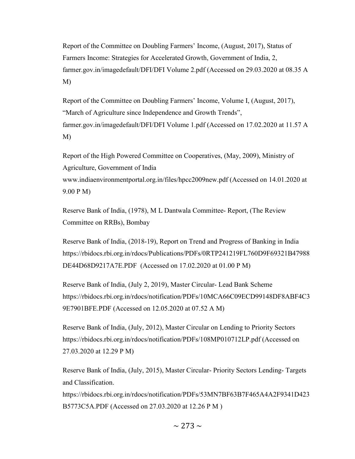Report of the Committee on Doubling Farmers' Income, (August, 2017), Status of Farmers Income: Strategies for Accelerated Growth, Government of India, 2, farmer.gov.in/imagedefault/DFI/DFI Volume 2.pdf (Accessed on 29.03.2020 at 08.35 A M)

Report of the Committee on Doubling Farmers' Income, Volume I, (August, 2017), "March of Agriculture since Independence and Growth Trends", farmer.gov.in/imagedefault/DFI/DFI Volume 1.pdf (Accessed on 17.02.2020 at 11.57 A M)

Report of the High Powered Committee on Cooperatives, (May, 2009), Ministry of Agriculture, Government of India www.indiaenvironmentportal.org.in/files/hpcc2009new.pdf (Accessed on 14.01.2020 at 9.00 P M)

Reserve Bank of India, (1978), M L Dantwala Committee- Report, (The Review Committee on RRBs), Bombay

Reserve Bank of India, (2018-19), Report on Trend and Progress of Banking in India https://rbidocs.rbi.org.in/rdocs/Publications/PDFs/0RTP241219FL760D9F69321B47988 DE44D68D9217A7E.PDF (Accessed on 17.02.2020 at 01.00 P M)

Reserve Bank of India, (July 2, 2019), Master Circular- Lead Bank Scheme https://rbidocs.rbi.org.in/rdocs/notification/PDFs/10MCA66C09ECD99148DF8ABF4C3 9E7901BFE.PDF (Accessed on 12.05.2020 at 07.52 A M)

Reserve Bank of India, (July, 2012), Master Circular on Lending to Priority Sectors https://rbidocs.rbi.org.in/rdocs/notification/PDFs/108MP010712LP.pdf (Accessed on 27.03.2020 at 12.29 P M)

Reserve Bank of India, (July, 2015), Master Circular- Priority Sectors Lending- Targets and Classification.

https://rbidocs.rbi.org.in/rdocs/notification/PDFs/53MN7BF63B7F465A4A2F9341D423 B5773C5A.PDF (Accessed on 27.03.2020 at 12.26 P M )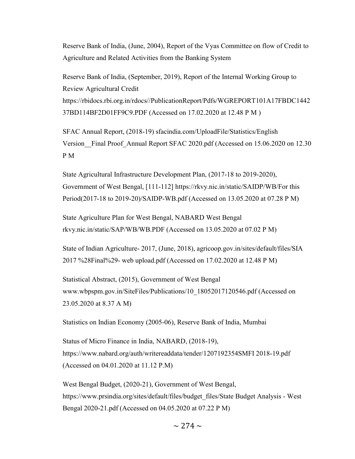Reserve Bank of India, (June, 2004), Report of the Vyas Committee on flow of Credit to Agriculture and Related Activities from the Banking System

Reserve Bank of India, (September, 2019), Report of the Internal Working Group to Review Agricultural Credit https://rbidocs.rbi.org.in/rdocs//PublicationReport/Pdfs/WGREPORT101A17FBDC1442 37BD114BF2D01FF9C9.PDF (Accessed on 17.02.2020 at 12.48 P M )

SFAC Annual Report, (2018-19) sfacindia.com/UploadFile/Statistics/English Version\_\_Final Proof\_Annual Report SFAC 2020.pdf (Accessed on 15.06.2020 on 12.30 P M

State Agricultural Infrastructure Development Plan, (2017-18 to 2019-2020), Government of West Bengal, [111-112] https://rkvy.nic.in/static/SAIDP/WB/For this Period(2017-18 to 2019-20)/SAIDP-WB.pdf (Accessed on 13.05.2020 at 07.28 P M)

State Agriculture Plan for West Bengal, NABARD West Bengal rkvy.nic.in/static/SAP/WB/WB.PDF (Accessed on 13.05.2020 at 07.02 P M)

State of Indian Agriculture- 2017, (June, 2018), agricoop.gov.in/sites/default/files/SIA 2017 %28Final%29- web upload.pdf (Accessed on 17.02.2020 at 12.48 P M)

Statistical Abstract, (2015), Government of West Bengal www.wbpspm.gov.in/SiteFiles/Publications/10\_18052017120546.pdf (Accessed on 23.05.2020 at 8.37 A M)

Statistics on Indian Economy (2005-06), Reserve Bank of India, Mumbai

Status of Micro Finance in India, NABARD, (2018-19), https://www.nabard.org/auth/writereaddata/tender/1207192354SMFI 2018-19.pdf (Accessed on 04.01.2020 at 11.12 P.M)

West Bengal Budget, (2020-21), Government of West Bengal, https://www.prsindia.org/sites/default/files/budget\_files/State Budget Analysis - West Bengal 2020-21.pdf (Accessed on 04.05.2020 at 07.22 P M)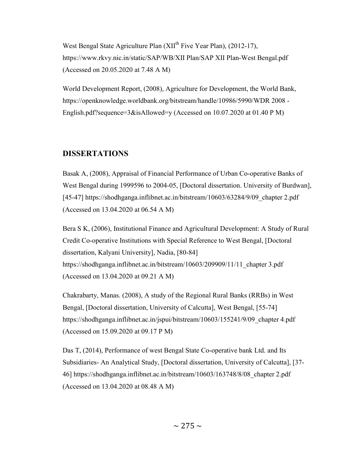West Bengal State Agriculture Plan (XII<sup>th</sup> Five Year Plan), (2012-17), https://www.rkvy.nic.in/static/SAP/WB/XII Plan/SAP XII Plan-West Bengal.pdf (Accessed on 20.05.2020 at 7.48 A M)

World Development Report, (2008), Agriculture for Development, the World Bank, https://openknowledge.worldbank.org/bitstream/handle/10986/5990/WDR 2008 - English.pdf?sequence= $3\&$ isAllowed=y (Accessed on 10.07.2020 at 01.40 P M)

#### DISSERTATIONS

Basak A, (2008), Appraisal of Financial Performance of Urban Co-operative Banks of West Bengal during 1999596 to 2004-05, [Doctoral dissertation. University of Burdwan], [45-47] https://shodhganga.inflibnet.ac.in/bitstream/10603/63284/9/09\_chapter 2.pdf (Accessed on 13.04.2020 at 06.54 A M)

Bera S K, (2006), Institutional Finance and Agricultural Development: A Study of Rural Credit Co-operative Institutions with Special Reference to West Bengal, [Doctoral dissertation, Kalyani University], Nadia, [80-84] https://shodhganga.inflibnet.ac.in/bitstream/10603/209909/11/11\_chapter 3.pdf (Accessed on 13.04.2020 at 09.21 A M)

Chakrabarty, Manas. (2008), A study of the Regional Rural Banks (RRBs) in West Bengal, [Doctoral dissertation, University of Calcutta], West Bengal, [55-74] https://shodhganga.inflibnet.ac.in/jspui/bitstream/10603/155241/9/09\_chapter 4.pdf (Accessed on 15.09.2020 at 09.17 P M)

Das T, (2014), Performance of west Bengal State Co-operative bank Ltd. and Its Subsidiaries- An Analytical Study, [Doctoral dissertation, University of Calcutta], [37- 46] https://shodhganga.inflibnet.ac.in/bitstream/10603/163748/8/08\_chapter 2.pdf (Accessed on 13.04.2020 at 08.48 A M)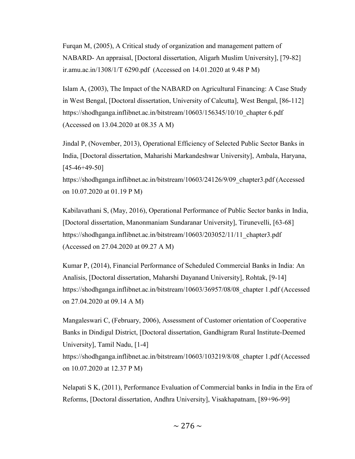Furqan M, (2005), A Critical study of organization and management pattern of NABARD- An appraisal, [Doctoral dissertation, Aligarh Muslim University], [79-82] ir.amu.ac.in/1308/1/T 6290.pdf (Accessed on 14.01.2020 at 9.48 P M)

Islam A, (2003), The Impact of the NABARD on Agricultural Financing: A Case Study in West Bengal, [Doctoral dissertation, University of Calcutta], West Bengal, [86-112] https://shodhganga.inflibnet.ac.in/bitstream/10603/156345/10/10\_chapter 6.pdf (Accessed on 13.04.2020 at 08.35 A M)

Jindal P, (November, 2013), Operational Efficiency of Selected Public Sector Banks in India, [Doctoral dissertation, Maharishi Markandeshwar University], Ambala, Haryana, [45-46+49-50]

https://shodhganga.inflibnet.ac.in/bitstream/10603/24126/9/09\_chapter3.pdf (Accessed on 10.07.2020 at 01.19 P M)

Kabilavathani S, (May, 2016), Operational Performance of Public Sector banks in India, [Doctoral dissertation, Manonmaniam Sundaranar University], Tirunevelli, [63-68] https://shodhganga.inflibnet.ac.in/bitstream/10603/203052/11/11\_chapter3.pdf (Accessed on 27.04.2020 at 09.27 A M)

Kumar P, (2014), Financial Performance of Scheduled Commercial Banks in India: An Analisis, [Doctoral dissertation, Maharshi Dayanand University], Rohtak, [9-14] https://shodhganga.inflibnet.ac.in/bitstream/10603/36957/08/08\_chapter 1.pdf (Accessed on 27.04.2020 at 09.14 A M)

Mangaleswari C, (February, 2006), Assessment of Customer orientation of Cooperative Banks in Dindigul District, [Doctoral dissertation, Gandhigram Rural Institute-Deemed University], Tamil Nadu, [1-4] https://shodhganga.inflibnet.ac.in/bitstream/10603/103219/8/08\_chapter 1.pdf (Accessed on 10.07.2020 at 12.37 P M)

Nelapati S K, (2011), Performance Evaluation of Commercial banks in India in the Era of Reforms, [Doctoral dissertation, Andhra University], Visakhapatnam, [89+96-99]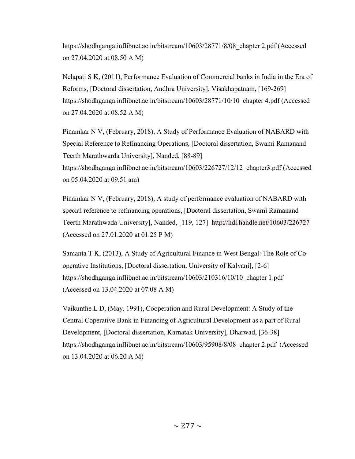https://shodhganga.inflibnet.ac.in/bitstream/10603/28771/8/08\_chapter 2.pdf (Accessed on 27.04.2020 at 08.50 A M)

Nelapati S K, (2011), Performance Evaluation of Commercial banks in India in the Era of Reforms, [Doctoral dissertation, Andhra University], Visakhapatnam, [169-269] https://shodhganga.inflibnet.ac.in/bitstream/10603/28771/10/10 chapter 4.pdf (Accessed on 27.04.2020 at 08.52 A M)

Pinamkar N V, (February, 2018), A Study of Performance Evaluation of NABARD with Special Reference to Refinancing Operations, [Doctoral dissertation, Swami Ramanand Teerth Marathwarda University], Nanded, [88-89] https://shodhganga.inflibnet.ac.in/bitstream/10603/226727/12/12\_chapter3.pdf (Accessed on 05.04.2020 at 09.51 am)

Pinamkar N V, (February, 2018), A study of performance evaluation of NABARD with special reference to refinancing operations, [Doctoral dissertation, Swami Ramanand Teerth Marathwada University], Nanded, [119, 127] http://hdl.handle.net/10603/226727 (Accessed on 27.01.2020 at 01.25 P M)

Samanta T K, (2013), A Study of Agricultural Finance in West Bengal: The Role of Cooperative Institutions, [Doctoral dissertation, University of Kalyani], [2-6] https://shodhganga.inflibnet.ac.in/bitstream/10603/210316/10/10\_chapter 1.pdf (Accessed on 13.04.2020 at 07.08 A M)

Vaikunthe L D, (May, 1991), Cooperation and Rural Development: A Study of the Central Coperative Bank in Financing of Agricultural Development as a part of Rural Development, [Doctoral dissertation, Karnatak University], Dharwad, [36-38] https://shodhganga.inflibnet.ac.in/bitstream/10603/95908/8/08\_chapter 2.pdf (Accessed on 13.04.2020 at 06.20 A M)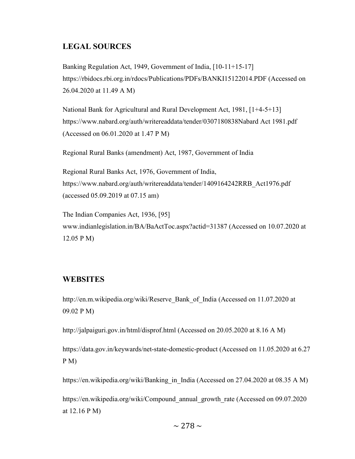## LEGAL SOURCES

Banking Regulation Act, 1949, Government of India, [10-11+15-17] https://rbidocs.rbi.org.in/rdocs/Publications/PDFs/BANKI15122014.PDF (Accessed on 26.04.2020 at 11.49 A M)

National Bank for Agricultural and Rural Development Act, 1981, [1+4-5+13] https://www.nabard.org/auth/writereaddata/tender/0307180838Nabard Act 1981.pdf (Accessed on 06.01.2020 at 1.47 P M)

Regional Rural Banks (amendment) Act, 1987, Government of India

Regional Rural Banks Act, 1976, Government of India, https://www.nabard.org/auth/writereaddata/tender/1409164242RRB\_Act1976.pdf (accessed 05.09.2019 at 07.15 am)

The Indian Companies Act, 1936, [95] www.indianlegislation.in/BA/BaActToc.aspx?actid=31387 (Accessed on 10.07.2020 at 12.05 P M)

### WEBSITES

http://en.m.wikipedia.org/wiki/Reserve\_Bank\_of\_India (Accessed on 11.07.2020 at 09.02 P M)

http://jalpaiguri.gov.in/html/disprof.html (Accessed on 20.05.2020 at 8.16 A M)

https://data.gov.in/keywards/net-state-domestic-product (Accessed on 11.05.2020 at 6.27 P M)

https://en.wikipedia.org/wiki/Banking\_in\_India (Accessed on 27.04.2020 at 08.35 A M)

https://en.wikipedia.org/wiki/Compound\_annual\_growth\_rate (Accessed on 09.07.2020 at 12.16 P M)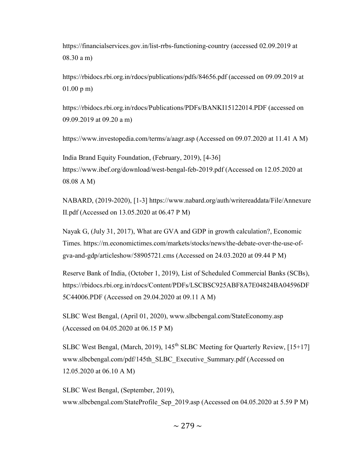https://financialservices.gov.in/list-rrbs-functioning-country (accessed 02.09.2019 at 08.30 a m)

https://rbidocs.rbi.org.in/rdocs/publications/pdfs/84656.pdf (accessed on 09.09.2019 at 01.00 p m)

https://rbidocs.rbi.org.in/rdocs/Publications/PDFs/BANKI15122014.PDF (accessed on 09.09.2019 at 09.20 a m)

https://www.investopedia.com/terms/a/aagr.asp (Accessed on 09.07.2020 at 11.41 A M)

India Brand Equity Foundation, (February, 2019), [4-36] https://www.ibef.org/download/west-bengal-feb-2019.pdf (Accessed on 12.05.2020 at 08.08 A M)

NABARD, (2019-2020), [1-3] https://www.nabard.org/auth/writereaddata/File/Annexure II.pdf (Accessed on 13.05.2020 at 06.47 P M)

Nayak G, (July 31, 2017), What are GVA and GDP in growth calculation?, Economic Times. https://m.economictimes.com/markets/stocks/news/the-debate-over-the-use-ofgva-and-gdp/articleshow/58905721.cms (Accessed on 24.03.2020 at 09.44 P M)

Reserve Bank of India, (October 1, 2019), List of Scheduled Commercial Banks (SCBs), https://rbidocs.rbi.org.in/rdocs/Content/PDFs/LSCBSC925ABF8A7E04824BA04596DF 5C44006.PDF (Accessed on 29.04.2020 at 09.11 A M)

SLBC West Bengal, (April 01, 2020), www.slbcbengal.com/StateEconomy.asp (Accessed on 04.05.2020 at 06.15 P M)

SLBC West Bengal, (March, 2019),  $145<sup>th</sup>$  SLBC Meeting for Quarterly Review, [15+17] www.slbcbengal.com/pdf/145th\_SLBC\_Executive\_Summary.pdf (Accessed on 12.05.2020 at 06.10 A M)

SLBC West Bengal, (September, 2019), www.slbcbengal.com/StateProfile Sep 2019.asp (Accessed on 04.05.2020 at 5.59 P M)